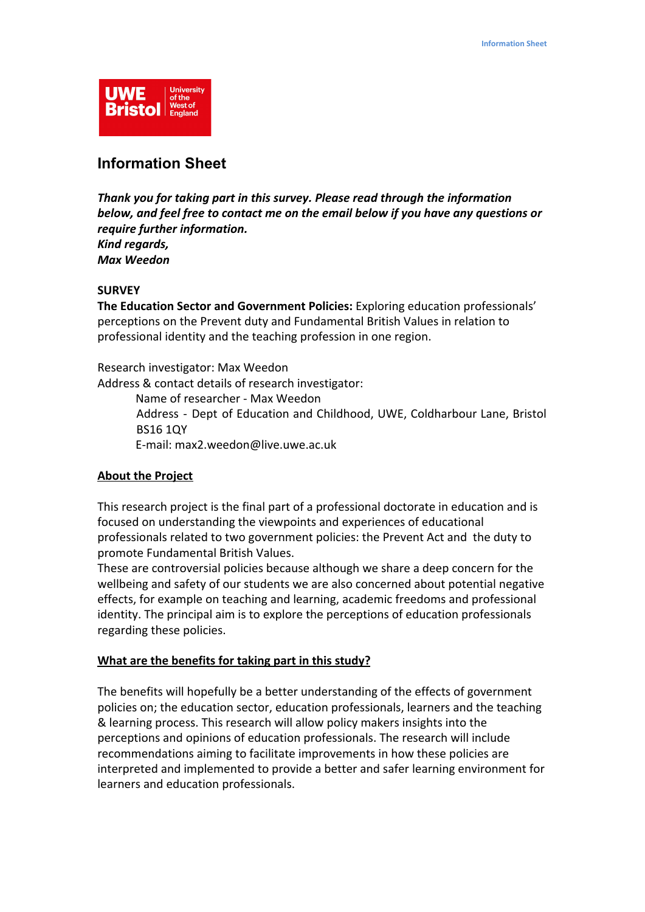

# **Information Sheet**

*Thank you for taking part in this survey. Please read through the information below, and feel free to contact me on the email below if you have any questions or require further information. Kind regards, Max Weedon*

# **SURVEY**

**The Education Sector and Government Policies:** Exploring education professionals' perceptions on the Prevent duty and Fundamental British Values in relation to professional identity and the teaching profession in one region.

Research investigator: Max Weedon Address & contact details of research investigator: Name of researcher - Max Weedon

Address - Dept of Education and Childhood, UWE, Coldharbour Lane, Bristol BS16 1QY

E-mail: max2.weedon@live.uwe.ac.uk

# **About the Project**

This research project is the final part of a professional doctorate in education and is focused on understanding the viewpoints and experiences of educational professionals related to two government policies: the Prevent Act and the duty to promote Fundamental British Values.

These are controversial policies because although we share a deep concern for the wellbeing and safety of our students we are also concerned about potential negative effects, for example on teaching and learning, academic freedoms and professional identity. The principal aim is to explore the perceptions of education professionals regarding these policies.

## **What are the benefits for taking part in this study?**

The benefits will hopefully be a better understanding of the effects of government policies on; the education sector, education professionals, learners and the teaching & learning process. This research will allow policy makers insights into the perceptions and opinions of education professionals. The research will include recommendations aiming to facilitate improvements in how these policies are interpreted and implemented to provide a better and safer learning environment for learners and education professionals.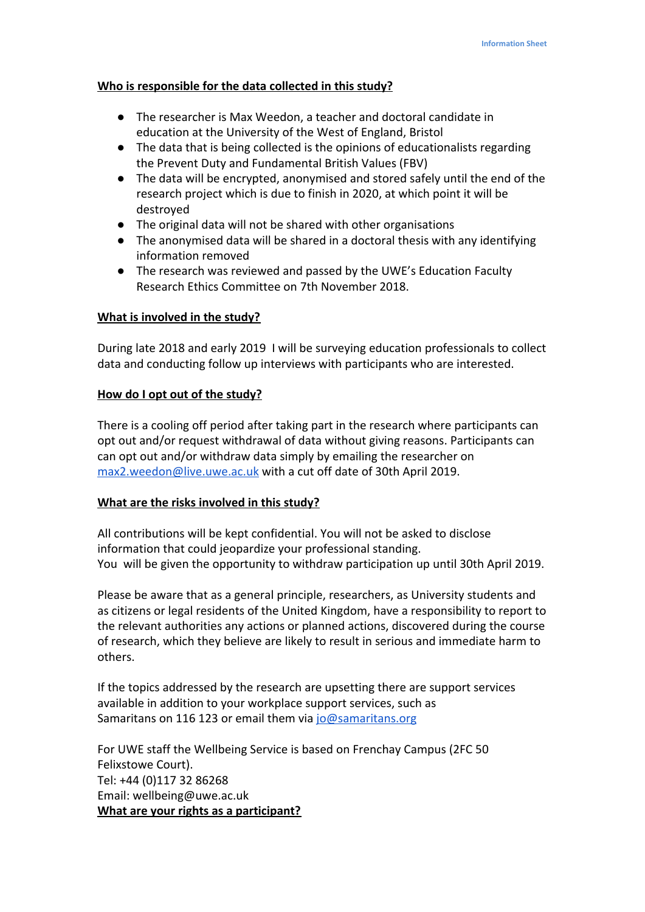## **Who is responsible for the data collected in this study?**

- The researcher is Max Weedon, a teacher and doctoral candidate in education at the University of the West of England, Bristol
- The data that is being collected is the opinions of educationalists regarding the Prevent Duty and Fundamental British Values (FBV)
- The data will be encrypted, anonymised and stored safely until the end of the research project which is due to finish in 2020, at which point it will be destroyed
- The original data will not be shared with other organisations
- The anonymised data will be shared in a doctoral thesis with any identifying information removed
- The research was reviewed and passed by the UWE's Education Faculty Research Ethics Committee on 7th November 2018.

# **What is involved in the study?**

During late 2018 and early 2019 I will be surveying education professionals to collect data and conducting follow up interviews with participants who are interested.

## **How do I opt out of the study?**

There is a cooling off period after taking part in the research where participants can opt out and/or request withdrawal of data without giving reasons. Participants can can opt out and/or withdraw data simply by emailing the researcher on [max2.weedon@live.uwe.ac.uk](mailto:max2.weedon@live.uwe.ac.uk) with a cut off date of 30th April 2019.

## **What are the risks involved in this study?**

All contributions will be kept confidential. You will not be asked to disclose information that could jeopardize your professional standing. You will be given the opportunity to withdraw participation up until 30th April 2019.

Please be aware that as a general principle, researchers, as University students and as citizens or legal residents of the United Kingdom, have a responsibility to report to the relevant authorities any actions or planned actions, discovered during the course of research, which they believe are likely to result in serious and immediate harm to others.

If the topics addressed by the research are upsetting there are support services available in addition to your workplace support services, such as Samaritans on 116 123 or email them via [jo@samaritans.org](mailto:jo@samaritans.org)

For UWE staff the Wellbeing Service is based on Frenchay Campus (2FC 50 Felixstowe Court). Tel: +44 (0)117 32 86268 Email: wellbeing@uwe.ac.uk **What are your rights as a participant?**